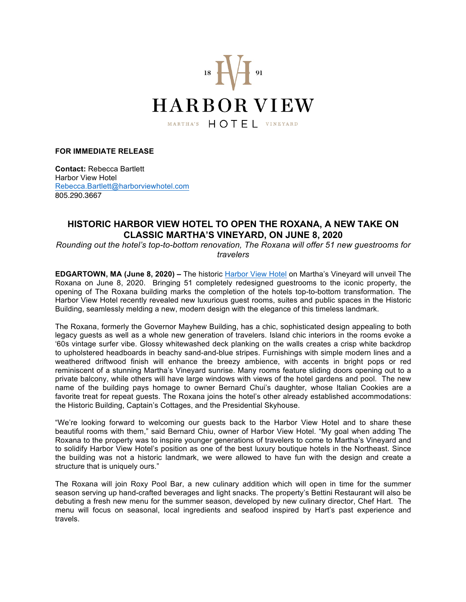

## **FOR IMMEDIATE RELEASE**

**Contact:** Rebecca Bartlett Harbor View Hotel Rebecca.Bartlett@harborviewhotel.com 805.290.3667

## **HISTORIC HARBOR VIEW HOTEL TO OPEN THE ROXANA, A NEW TAKE ON CLASSIC MARTHA'S VINEYARD, ON JUNE 8, 2020**

*Rounding out the hotel's top-to-bottom renovation, The Roxana will offer 51 new guestrooms for travelers* 

**EDGARTOWN, MA (June 8, 2020) –** The historic Harbor View Hotel on Martha's Vineyard will unveil The Roxana on June 8, 2020. Bringing 51 completely redesigned guestrooms to the iconic property, the opening of The Roxana building marks the completion of the hotels top-to-bottom transformation. The Harbor View Hotel recently revealed new luxurious guest rooms, suites and public spaces in the Historic Building, seamlessly melding a new, modern design with the elegance of this timeless landmark.

The Roxana, formerly the Governor Mayhew Building, has a chic, sophisticated design appealing to both legacy guests as well as a whole new generation of travelers. Island chic interiors in the rooms evoke a '60s vintage surfer vibe. Glossy whitewashed deck planking on the walls creates a crisp white backdrop to upholstered headboards in beachy sand-and-blue stripes. Furnishings with simple modern lines and a weathered driftwood finish will enhance the breezy ambience, with accents in bright pops or red reminiscent of a stunning Martha's Vineyard sunrise. Many rooms feature sliding doors opening out to a private balcony, while others will have large windows with views of the hotel gardens and pool. The new name of the building pays homage to owner Bernard Chui's daughter, whose Italian Cookies are a favorite treat for repeat guests. The Roxana joins the hotel's other already established accommodations: the Historic Building, Captain's Cottages, and the Presidential Skyhouse.

"We're looking forward to welcoming our guests back to the Harbor View Hotel and to share these beautiful rooms with them," said Bernard Chiu, owner of Harbor View Hotel. "My goal when adding The Roxana to the property was to inspire younger generations of travelers to come to Martha's Vineyard and to solidify Harbor View Hotel's position as one of the best luxury boutique hotels in the Northeast. Since the building was not a historic landmark, we were allowed to have fun with the design and create a structure that is uniquely ours."

The Roxana will join Roxy Pool Bar, a new culinary addition which will open in time for the summer season serving up hand-crafted beverages and light snacks. The property's Bettini Restaurant will also be debuting a fresh new menu for the summer season, developed by new culinary director, Chef Hart. The menu will focus on seasonal, local ingredients and seafood inspired by Hart's past experience and travels.